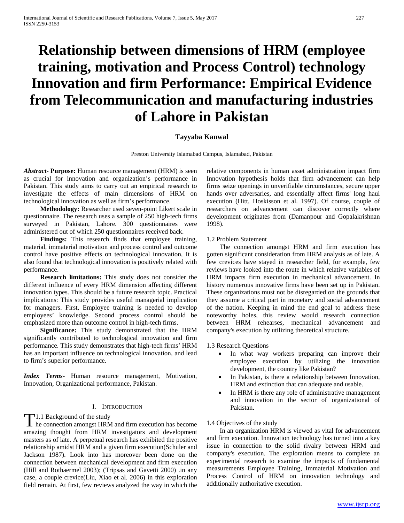# **Relationship between dimensions of HRM (employee training, motivation and Process Control) technology Innovation and firm Performance: Empirical Evidence from Telecommunication and manufacturing industries of Lahore in Pakistan**

# **Tayyaba Kanwal**

Preston University Islamabad Campus, Islamabad, Pakistan

*Abstract***- Purpose:** Human resource management (HRM) is seen as crucial for innovation and organization's performance in Pakistan. This study aims to carry out an empirical research to investigate the effects of main dimensions of HRM on technological innovation as well as firm's performance.

 **Methodology:** Researcher used seven-point Likert scale in questionnaire. The research uses a sample of 250 high-tech firms surveyed in Pakistan, Lahore. 300 questionnaires were administered out of which 250 questionnaires received back.

Findings: This research finds that employee training, material, immaterial motivation and process control and outcome control have positive effects on technological innovation, It is also found that technological innovation is positively related with performance.

 **Research limitations:** This study does not consider the different influence of every HRM dimension affecting different innovation types. This should be a future research topic. Practical implications: This study provides useful managerial implication for managers. First, Employee training is needed to develop employees' knowledge. Second process control should be emphasized more than outcome control in high-tech firms.

 **Significance:** This study demonstrated that the HRM significantly contributed to technological innovation and firm performance. This study demonstrates that high-tech firms' HRM has an important influence on technological innovation, and lead to firm's superior performance.

*Index Terms*- Human resource management, Motivation, Innovation, Organizational performance, Pakistan.

# I. INTRODUCTION

T1.1 Background of the study<br>he connection amongst HRN  $\blacktriangle$  he connection amongst HRM and firm execution has become amazing thought from HRM investigators and development masters as of late. A perpetual research has exhibited the positive relationship amidst HRM and a given firm execution(Schuler and Jackson 1987). Look into has moreover been done on the connection between mechanical development and firm execution (Hill and Rothaermel 2003); (Tripsas and Gavetti 2000) .in any case, a couple crevice(Liu, Xiao et al. 2006) in this exploration field remain. At first, few reviews analyzed the way in which the relative components in human asset administration impact firm Innovation hypothesis holds that firm advancement can help firms seize openings in unverifiable circumstances, secure upper hands over adversaries, and essentially affect firms' long haul execution (Hitt, Hoskisson et al. 1997). Of course, couple of researchers on advancement can discover correctly where development originates from (Damanpour and Gopalakrishnan 1998).

# 1.2 Problem Statement

 The connection amongst HRM and firm execution has gotten significant consideration from HRM analysts as of late. A few crevices have stayed in researcher field, for example, few reviews have looked into the route in which relative variables of HRM impacts firm execution in mechanical advancement. In history numerous innovative firms have been set up in Pakistan. These organizations must not be disregarded on the grounds that they assume a critical part in monetary and social advancement of the nation. Keeping in mind the end goal to address these noteworthy holes, this review would research connection between HRM rehearses, mechanical advancement and company's execution by utilizing theoretical structure.

### 1.3 Research Questions

- In what way workers preparing can improve their employee execution by utilizing the innovation development, the country like Pakistan?
- In Pakistan, is there a relationship between Innovation, HRM and extinction that can adequate and usable.
- In HRM is there any role of administrative management and innovation in the sector of organizational of Pakistan.

#### 1.4 Objectives of the study

 In an organization HRM is viewed as vital for advancement and firm execution. Innovation technology has turned into a key issue in connection to the solid rivalry between HRM and company's execution. The exploration means to complete an experimental research to examine the impacts of fundamental measurements Employee Training, Immaterial Motivation and Process Control of HRM on innovation technology and additionally authoritative execution.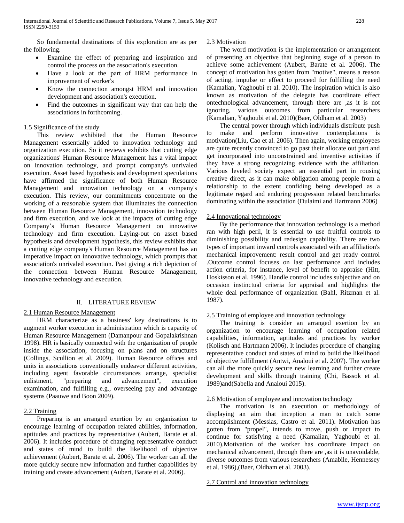So fundamental destinations of this exploration are as per the following.

- Examine the effect of preparing and inspiration and control the process on the association's execution.
- Have a look at the part of HRM performance in improvement of worker's
- Know the connection amongst HRM and innovation development and association's execution.
- Find the outcomes in significant way that can help the associations in forthcoming.

# 1.5 Significance of the study

 This review exhibited that the Human Resource Management essentially added to innovation technology and organization execution. So it reviews exhibits that cutting edge organizations' Human Resource Management has a vital impact on innovation technology, and prompt company's unrivaled execution. Asset based hypothesis and development speculations have affirmed the significance of both Human Resource Management and innovation technology on a company's execution. This review, our commitments concentrate on the working of a reasonable system that illuminates the connection between Human Resource Management, innovation technology and firm execution, and we look at the impacts of cutting edge Company's Human Resource Management on innovative technology and firm execution. Laying-out on asset based hypothesis and development hypothesis, this review exhibits that a cutting edge company's Human Resource Management has an imperative impact on innovative technology, which prompts that association's unrivaled execution. Past giving a rich depiction of the connection between Human Resource Management, innovative technology and execution.

# II. LITERATURE REVIEW

# 2.1 Human Resource Management

 HRM characterize as a business' key destinations is to augment worker execution in administration which is capacity of Human Resource Management (Damanpour and Gopalakrishnan 1998). HR is basically connected with the organization of people inside the association, focusing on plans and on structures (Collings, Scullion et al. 2009). Human Resource offices and units in associations conventionally endeavor different activities, including agent favorable circumstances arrange, specialist advancement", execution examination, and fulfilling e.g., overseeing pay and advantage systems (Paauwe and Boon 2009).

# 2.2 Training

 Preparing is an arranged exertion by an organization to encourage learning of occupation related abilities, information, aptitudes and practices by representative (Aubert, Barate et al. 2006). It includes procedure of changing representative conduct and states of mind to build the likelihood of objective achievement (Aubert, Barate et al. 2006). The worker can all the more quickly secure new information and further capabilities by training and create advancement (Aubert, Barate et al. 2006).

# 2.3 Motivation

 The word motivation is the implementation or arrangement of presenting an objective that beginning stage of a person to achieve some achievement (Aubert, Barate et al. 2006). The concept of motivation has gotten from "motive", means a reason of acting, impulse or effect to proceed for fulfilling the need (Kamalian, Yaghoubi et al. 2010). The inspiration which is also known as motivation of the delegate has coordinate effect ontechnological advancement, through there are ,as it is not ignoring, various outcomes from particular researchers (Kamalian, Yaghoubi et al. 2010)(Baer, Oldham et al. 2003)

 The central power through which individuals distribute push to make and perform innovative contemplations is motivation(Liu, Cao et al. 2006). Then again, working employees are quite recently convinced to go past their allocate out part and get incorporated into unconstrained and inventive activities if they have a strong recognizing evidence with the affiliation. Various leveled society expect an essential part in rousing creative direct, as it can make obligation among people from a relationship to the extent confiding being developed as a legitimate regard and enduring progression related benchmarks dominating within the association (Dulaimi and Hartmann 2006)

# 2.4 Innovational technology

 By the performance that innovation technology is a method ran with high peril, it is essential to use fruitful controls to diminishing possibility and redesign capability. There are two types of important inward controls associated with an affiliation's mechanical improvement: result control and get ready control .Outcome control focuses on last performance and includes action criteria, for instance, level of benefit to appraise (Hitt, Hoskisson et al. 1996). Handle control includes subjective and on occasion instinctual criteria for appraisal and highlights the whole deal performance of organization (Bahl, Ritzman et al. 1987).

# 2.5 Training of employee and innovation technology

 The training is consider an arranged exertion by an organization to encourage learning of occupation related capabilities, information, aptitudes and practices by worker (Kolisch and Hartmann 2006). It includes procedure of changing representative conduct and states of mind to build the likelihood of objective fulfillment (Antwi, Analoui et al. 2007). The worker can all the more quickly secure new learning and further create development and skills through training (Chi, Bassok et al. 1989)and(Sabella and Analoui 2015).

# 2.6 Motivation of employee and innovation technology

 The motivation is an execution or methodology of displaying an aim that inception a man to catch some accomplishment (Messias, Castro et al. 2011). Motivation has gotten from "propel", intends to move, push or impact to continue for satisfying a need (Kamalian, Yaghoubi et al. 2010).Motivation of the worker has coordinate impact on mechanical advancement, through there are ,as it is unavoidable, diverse outcomes from various researchers (Amabile, Hennessey et al. 1986),(Baer, Oldham et al. 2003).

#### 2.7 Control and innovation technology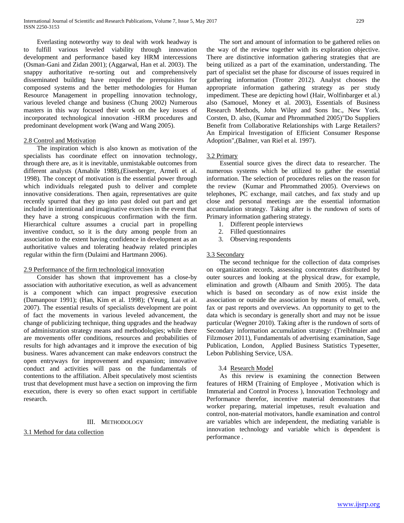Everlasting noteworthy way to deal with work headway is to fulfill various leveled viability through innovation development and performance based key HRM intercessions (Osman-Gani and Zidan 2001); (Aggarwal, Han et al. 2003). The snappy authoritative re-sorting out and comprehensively disseminated building have required the prerequisites for composed systems and the better methodologies for Human Resource Management in propelling innovation technology, various leveled change and business (Chung 2002) Numerous masters in this way focused their work on the key issues of incorporated technological innovation -HRM procedures and predominant development work (Wang and Wang 2005).

# 2.8 Control and Motivation

 The inspiration which is also known as motivation of the specialists has coordinate effect on innovation technology, through there are, as it is inevitable, unmistakable outcomes from different analysts (Amabile 1988),(Eisenberger, Armeli et al. 1998). The concept of motivation is the essential power through which individuals relegated push to deliver and complete innovative considerations. Then again, representatives are quite recently spurred that they go into past doled out part and get included in intentional and imaginative exercises in the event that they have a strong conspicuous confirmation with the firm. Hierarchical culture assumes a crucial part in propelling inventive conduct, so it is the duty among people from an association to the extent having confidence in development as an authoritative values and tolerating headway related principles regular within the firm (Dulaimi and Hartmann 2006).

# 2.9 Performance of the firm technological innovation

 Consider has shown that improvement has a close-by association with authoritative execution, as well as advancement is a component which can impact progressive execution (Damanpour 1991); (Han, Kim et al. 1998); (Yeung, Lai et al. 2007). The essential results of specialists development are point of fact the movements in various leveled advancement, the change of publicizing technique, thing upgrades and the headway of administration strategy means and methodologies; while there are movements offer conditions, resources and probabilities of results for high advantages and it improve the execution of big business. Wares advancement can make endeavors construct the open entryways for improvement and expansion; innovative conduct and activities will pass on the fundamentals of contentions to the affiliation. Albeit speculatively most scientists trust that development must have a section on improving the firm execution, there is every so often exact support in certifiable research.

#### III. METHODOLOGY

3.1 Method for data collection

 The sort and amount of information to be gathered relies on the way of the review together with its exploration objective. There are distinctive information gathering strategies that are being utilized as a part of the examination, understanding. The part of specialist set the phase for discourse of issues required in gathering information (Trotter 2012). Analyst chooses the appropriate information gathering strategy as per study impediment. These are depicting howl (Hair, Wolfinbarger et al.) also (Samouel, Money et al. 2003), Essentials of Business Research Methods, John Wiley and Sons Inc., New York. Corsten, D. also, (Kumar and Phrommathed 2005)"Do Suppliers Benefit from Collaborative Relationships with Large Retailers? An Empirical Investigation of Efficient Consumer Response Adoption",(Balmer, van Riel et al. 1997).

# 3.2 Primary

 Essential source gives the direct data to researcher. The numerous systems which be utilized to gather the essential information. The selection of procedures relies on the reason for the review (Kumar and Phrommathed 2005). Overviews on telephones, PC exchange, mail catches, and fax study and up close and personal meetings are the essential information accumulation strategy. Taking after is the rundown of sorts of Primary information gathering strategy.

- 1. Different people interviews
- 2. Filled questionnaires
- 3. Observing respondents

# 3.3 Secondary

 The second technique for the collection of data comprises on organization records, assessing concentrates distributed by outer sources and looking at the physical draw, for example, elimination and growth (Albaum and Smith 2005). The data which is based on secondary as of now exist inside the association or outside the association by means of email, web, fax or past reports and overviews. An opportunity to get to the data which is secondary is generally short and may not be issue particular (Wegner 2010). Taking after is the rundown of sorts of Secondary information accumulation strategy: (Treiblmaier and Filzmoser 2011), Fundamentals of advertising examination, Sage Publication, London, Applied Business Statistics Typesetter, Lebon Publishing Service, USA.

#### 3.4 Research Model

 As this review is examining the connection Between features of HRM (Training of Employee , Motivation which is Immaterial and Control in Process ), Innovation Technology and Performance therefor, incentive material demonstrates that worker preparing, material impetuses, result evaluation and control, non-material motivators, handle examination and control are variables which are independent, the mediating variable is innovation technology and variable which is dependent is performance .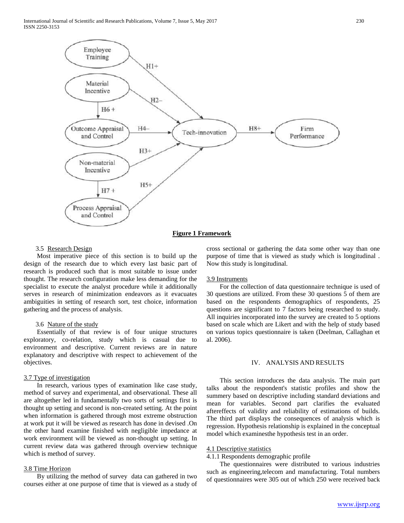

#### **Figure 1 Framework**

#### 3.5 Research Design

 Most imperative piece of this section is to build up the design of the research due to which every last basic part of research is produced such that is most suitable to issue under thought. The research configuration make less demanding for the specialist to execute the analyst procedure while it additionally serves in research of minimization endeavors as it evacuates ambiguities in setting of research sort, test choice, information gathering and the process of analysis.

#### 3.6 Nature of the study

 Essentially of that review is of four unique structures exploratory, co-relation, study which is casual due to environment and descriptive. Current reviews are in nature explanatory and descriptive with respect to achievement of the objectives.

### 3.7 Type of investigation

 In research, various types of examination like case study, method of survey and experimental, and observational. These all are altogether led in fundamentally two sorts of settings first is thought up setting and second is non-created setting. At the point when information is gathered through most extreme obstruction at work put it will be viewed as research has done in devised .On the other hand examine finished with negligible impedance at work environment will be viewed as non-thought up setting. In current review data was gathered through overview technique which is method of survey.

## 3.8 Time Horizon

 By utilizing the method of survey data can gathered in two courses either at one purpose of time that is viewed as a study of

cross sectional or gathering the data some other way than one purpose of time that is viewed as study which is longitudinal . Now this study is longitudinal.

#### 3.9 Instruments

 For the collection of data questionnaire technique is used of 30 questions are utilized. From these 30 questions 5 of them are based on the respondents demographics of respondents, 25 questions are significant to 7 factors being researched to study. All inquiries incorporated into the survey are created to 5 options based on scale which are Likert and with the help of study based on various topics questionnaire is taken (Deelman, Callaghan et al. 2006).

### IV. ANALYSIS AND RESULTS

 This section introduces the data analysis. The main part talks about the respondent's statistic profiles and show the summery based on descriptive including standard deviations and mean for variables. Second part clarifies the evaluated aftereffects of validity and reliability of estimations of builds. The third part displays the consequences of analysis which is regression. Hypothesis relationship is explained in the conceptual model which examinesthe hypothesis test in an order.

#### 4.1 Descriptive statistics

4.1.1 Respondents demographic profile

 The questionnaires were distributed to various industries such as engineering,telecom and manufacturing. Total numbers of questionnaires were 305 out of which 250 were received back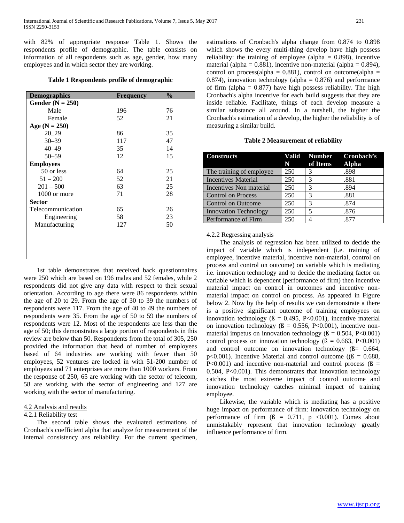with 82% of appropriate response Table 1. Shows the respondents profile of demographic. The table consists on information of all respondents such as age, gender, how many employees and in which sector they are working.

### **Table 1 Respondents profile of demographic**

| <b>Demographics</b> | <b>Frequency</b> | $\frac{0}{0}$ |
|---------------------|------------------|---------------|
| Gender $(N = 250)$  |                  |               |
| Male                | 196              | 76            |
| Female              | 52               | 21            |
| Age $(N = 250)$     |                  |               |
| $20 - 29$           | 86               | 35            |
| $30 - 39$           | 117              | 47            |
| $40 - 49$           | 35               | 14            |
| $50 - 59$           | 12               | 15            |
| <b>Employees</b>    |                  |               |
| 50 or less          | 64               | 25            |
| $51 - 200$          | 52               | 21            |
| $201 - 500$         | 63               | 25            |
| 1000 or more        | 71               | 28            |
| <b>Sector</b>       |                  |               |
| Telecommunication   | 65               | 26            |
| Engineering         | 58               | 23            |
| Manufacturing       | 127              | 50            |
|                     |                  |               |
|                     |                  |               |
|                     |                  |               |
|                     |                  |               |

 1st table demonstrates that received back questionnaires were 250 which are based on 196 males and 52 females, while 2 respondents did not give any data with respect to their sexual orientation. According to age there were 86 respondents within the age of 20 to 29. From the age of 30 to 39 the numbers of respondents were 117. From the age of 40 to 49 the numbers of respondents were 35. From the age of 50 to 59 the numbers of respondents were 12. Most of the respondents are less than the age of 50; this demonstrates a large portion of respondents in this review are below than 50. Respondents from the total of 305, 250 provided the information that head of number of employees based of 64 industries are working with fewer than 50 employees, 52 ventures are locked in with 51-200 number of employees and 71 enterprises are more than 1000 workers. From the response of 250, 65 are working with the sector of telecom, 58 are working with the sector of engineering and 127 are working with the sector of manufacturing.

# 4.2 Analysis and results

#### 4.2.1 Reliability test

 The second table shows the evaluated estimations of Cronbach's coefficient alpha that analyze for measurement of the internal consistency ans reliability. For the current specimen,

estimations of Cronbach's alpha change from 0.874 to 0.898 which shows the every multi-thing develop have high possess reliability: the training of employee (alpha  $= 0.898$ ), incentive material (alpha =  $0.881$ ), incentive non-material (alpha =  $0.894$ ), control on process(alpha =  $0.881$ ), control on outcome(alpha = 0.874), innovation technology (alpha =  $0.876$ ) and performance of firm (alpha =  $0.877$ ) have high possess reliability. The high Cronbach's alpha incentive for each build suggests that they are inside reliable. Facilitate, things of each develop measure a similar substance all around. In a nutshell, the higher the Cronbach's estimation of a develop, the higher the reliability is of measuring a similar build.

| <b>Table 2 Measurement of reliability</b> |  |  |
|-------------------------------------------|--|--|
|-------------------------------------------|--|--|

| <b>Constructs</b>            | N T | Valid Number<br>of Items | Cronbach's<br><b>Alpha</b> |
|------------------------------|-----|--------------------------|----------------------------|
| The training of employee     | 250 | 3                        | .898                       |
| <b>Incentives Material</b>   | 250 | 3                        | .881                       |
| Incentives Non material      | 250 | 3                        | .894                       |
| <b>Control on Process</b>    | 250 | 3                        | .881                       |
| <b>Control on Outcome</b>    | 250 | 3                        | .874                       |
| <b>Innovation Technology</b> | 250 | 5                        | .876                       |
| Performance of Firm          | 250 |                          | .877                       |

#### 4.2.2 Regressing analysis

 The analysis of regression has been utilized to decide the impact of variable which is independent (i.e. training of employee, incentive material, incentive non-material, control on process and control on outcome) on variable which is mediating i.e. innovation technology and to decide the mediating factor on variable which is dependent (performance of firm) then incentive material impact on control in outcomes and incentive nonmaterial impact on control on process. As appeared in Figure below 2. Now by the help of results we can demonstrate a there is a positive significant outcome of training employees on innovation technology ( $\beta = 0.495$ , P<0.001), incentive material on innovation technology ( $\beta = 0.556$ , P<0.001), incentive nonmaterial impetus on innovation technology ( $\beta = 0.504$ , P<0.001) control process on innovation technology ( $\beta = 0.663$ , P<0.001) and control outcome on innovation technology  $(β = 0.664,$ p<0.001). Incentive Material and control outcome ( $(β = 0.688,$ P<0.001) and incentive non-material and control process ( $\beta$  = 0.504, P<0.001). This demonstrates that innovation technology catches the most extreme impact of control outcome and innovation technology catches minimal impact of training employee.

 Likewise, the variable which is mediating has a positive huge impact on performance of firm: innovation technology on performance of firm  $(\beta = 0.711, p \le 0.001)$ . Comes about unmistakably represent that innovation technology greatly influence performance of firm.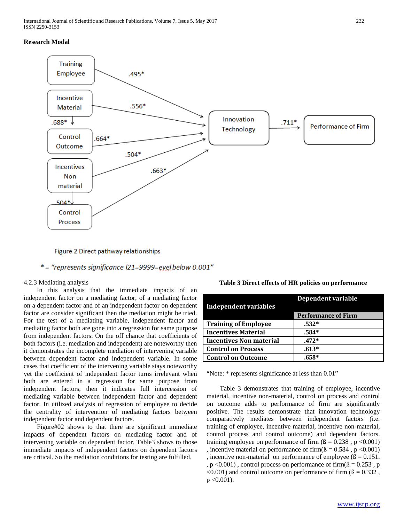# **Research Modal**



Figure 2 Direct pathway relationships

# $*$  = "represents significance  $121 = 9999 =$ evel below 0.001"

# 4.2.3 Mediating analysis

 In this analysis that the immediate impacts of an independent factor on a mediating factor, of a mediating factor on a dependent factor and of an independent factor on dependent factor are consider significant then the mediation might be tried. For the test of a mediating variable, independent factor and mediating factor both are gone into a regression for same purpose from independent factors. On the off chance that coefficients of both factors (i.e. mediation and independent) are noteworthy then it demonstrates the incomplete mediation of intervening variable between dependent factor and independent variable. In some cases that coefficient of the intervening variable stays noteworthy yet the coefficient of independent factor turns irrelevant when both are entered in a regression for same purpose from independent factors, then it indicates full intercession of mediating variable between independent factor and dependent factor. In utilized analysis of regression of employee to decide the centrality of intervention of mediating factors between independent factor and dependent factors.

 Figure#02 shows to that there are significant immediate impacts of dependent factors on mediating factor and of intervening variable on dependent factor. Table3 shows to those immediate impacts of independent factors on dependent factors are critical. So the mediation conditions for testing are fulfilled.

| <b>Independent variables</b>   | <b>Dependent variable</b>  |
|--------------------------------|----------------------------|
|                                | <b>Performance of Firm</b> |
| <b>Training of Employee</b>    | $.532*$                    |
| <b>Incentives Material</b>     | $.584*$                    |
| <b>Incentives Non material</b> | $.472*$                    |
| <b>Control on Process</b>      | $.613*$                    |
| <b>Control on Outcome</b>      | $.658*$                    |

**Table 3 Direct effects of HR policies on performance**

"Note: \* represents significance at less than 0.01"

 Table 3 demonstrates that training of employee, incentive material, incentive non-material, control on process and control on outcome adds to performance of firm are significantly positive. The results demonstrate that innovation technology comparatively mediates between independent factors (i.e. training of employee, incentive material, incentive non-material, control process and control outcome) and dependent factors. training employee on performance of firm  $(\beta = 0.238, p < 0.001)$ , incentive material on performance of firm( $\beta = 0.584$ , p < 0.001) , incentive non-material on performance of employee  $(β = 0.151$ . ,  $p \le 0.001$ ), control process on performance of firm( $\beta = 0.253$ , p  $\leq 0.001$ ) and control outcome on performance of firm ( $\beta = 0.332$ ,  $p < 0.001$ ).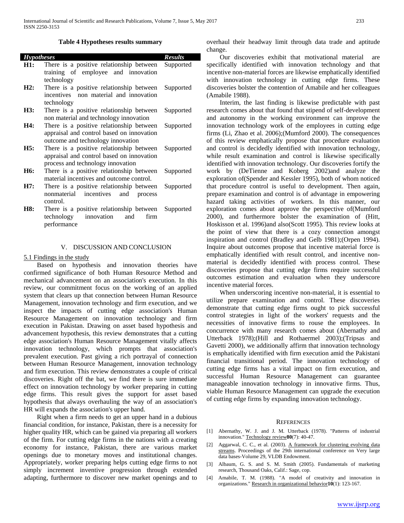| <b>Hypotheses</b> |                                             | <b>Results</b> |
|-------------------|---------------------------------------------|----------------|
| H1:               | There is a positive relationship between    | Supported      |
|                   | training of employee and innovation         |                |
|                   | technology                                  |                |
| H2:               | There is a positive relationship between    | Supported      |
|                   | incentives non material and innovation      |                |
|                   | technology                                  |                |
| H3:               | There is a positive relationship between    | Supported      |
|                   | non material and technology innovation      |                |
| H4:               | There is a positive relationship between    | Supported      |
|                   | appraisal and control based on innovation   |                |
|                   | outcome and technology innovation           |                |
| H5:               | There is a positive relationship between    |                |
|                   |                                             | Supported      |
|                   | appraisal and control based on innovation   |                |
|                   | process and technology innovation           |                |
| H <sub>6</sub> :  | There is a positive relationship between    | Supported      |
|                   | material incentives and outcome control.    |                |
| H7:               | There is a positive relationship between    | Supported      |
|                   | nonmaterial<br>incentives<br>and<br>process |                |
|                   | control.                                    |                |
| H8:               | There is a positive relationship between    | Supported      |
|                   | technology<br>and<br>firm<br>innovation     |                |
|                   | performance                                 |                |

#### V. DISCUSSION AND CONCLUSION

#### 5.1 Findings in the study

 Based on hypothesis and innovation theories have confirmed significance of both Human Resource Method and mechanical advancement on an association's execution. In this review, our commitment focus on the working of an applied system that clears up that connection between Human Resource Management, innovation technology and firm execution, and we inspect the impacts of cutting edge association's Human Resource Management on innovation technology and firm execution in Pakistan. Drawing on asset based hypothesis and advancement hypothesis, this review demonstrates that a cutting edge association's Human Resource Management vitally affects innovation technology, which prompts that association's prevalent execution. Past giving a rich portrayal of connection between Human Resource Management, innovation technology and firm execution. This review demonstrates a couple of critical discoveries. Right off the bat, we find there is sure immediate effect on innovation technology by worker preparing in cutting edge firms. This result gives the support for asset based hypothesis that always overhauling the way of an association's HR will expands the association's upper hand.

 Right when a firm needs to get an upper hand in a dubious financial condition, for instance, Pakistan, there is a necessity for higher quality HR, which can be gained via preparing all workers of the firm. For cutting edge firms in the nations with a creating economy for instance, Pakistan, there are various market openings due to monetary moves and institutional changes. Appropriately, worker preparing helps cutting edge firms to not simply increment inventive progression through extended adapting, furthermore to discover new market openings and to overhaul their headway limit through data trade and aptitude change.

 Our discoveries exhibit that motivational material are specifically identified with innovation technology and that incentive non-material forces are likewise emphatically identified with innovation technology in cutting edge firms. These discoveries bolster the contention of Amabile and her colleagues (Amabile 1988).

 Interim, the last finding is likewise predictable with past research comes about that found that stipend of self-development and autonomy in the working environment can improve the innovation technology work of the employees in cutting edge firms (Li, Zhao et al. 2006);(Mumford 2000). The consequences of this review emphatically propose that procedure evaluation and control is decidedly identified with innovation technology, while result examination and control is likewise specifically identified with innovation technology. Our discoveries fortify the work by (DeTienne and Koberg 2002)and analyze the exploration of(Spender and Kessler 1995), both of whom noticed that procedure control is useful to development. Then again, prepare examination and control is of advantage in empowering hazard taking activities of workers. In this manner, our exploration comes about approve the perspective of(Mumford 2000), and furthermore bolster the examination of (Hitt, Hoskisson et al. 1996)and also(Scott 1995). This review looks at the point of view that there is a cozy connection amongst inspiration and control (Bradley and Gelb 1981);(Orpen 1994). Inquire about outcomes propose that incentive material force is emphatically identified with result control, and incentive nonmaterial is decidedly identified with process control. These discoveries propose that cutting edge firms require successful outcomes estimation and evaluation when they underscore incentive material forces.

 When underscoring incentive non-material, it is essential to utilize prepare examination and control. These discoveries demonstrate that cutting edge firms ought to pick successful control strategies in light of the workers' requests and the necessities of innovative firms to rouse the employees. In concurrence with many research comes about (Abernathy and Utterback 1978);(Hill and Rothaermel 2003);(Tripsas and Gavetti 2000), we additionally affirm that innovation technology is emphatically identified with firm execution amid the Pakistani financial transitional period. The innovation technology of cutting edge firms has a vital impact on firm execution, and successful Human Resource Management can guarantee manageable innovation technology in innovative firms. Thus, viable Human Resource Management can upgrade the execution of cutting edge firms by expanding innovation technology.

#### **REFERENCES**

- [1] Abernathy, W. J. and J. M. Utterback (1978). "Patterns of industrial innovation." Technology review**80**(7): 40-47.
- [2] Aggarwal, C. C., et al. (2003). A framework for clustering evolving data streams. Proceedings of the 29th international conference on Very large data bases-Volume 29, VLDB Endowment.
- [3] Albaum, G. S. and S. M. Smith (2005). Fundamentals of marketing research, Thousand Oaks, Calif.: Sage, cop.
- [4] Amabile, T. M. (1988). "A model of creativity and innovation in organizations." Research in organizational behavior**10**(1): 123-167.